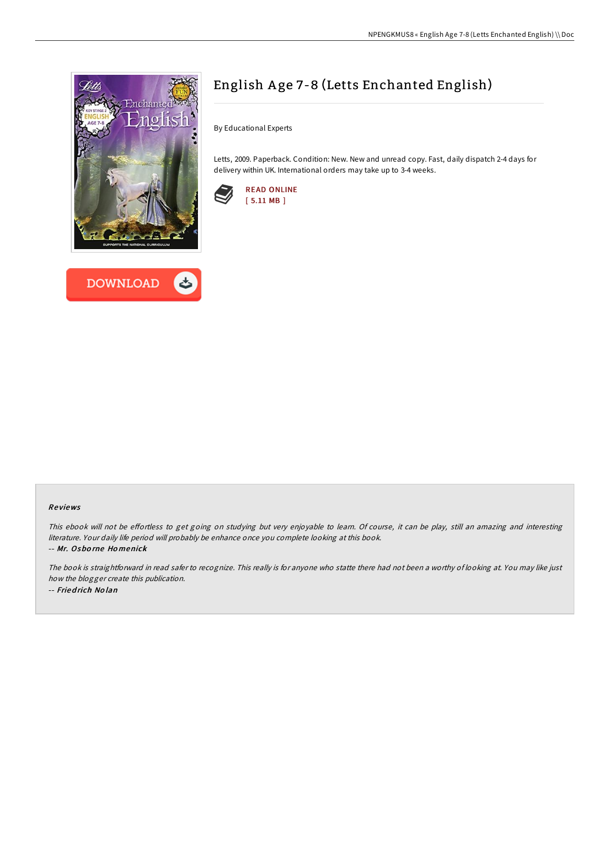



## English A ge 7-8 (Letts Enchanted English)

By Educational Experts

Letts, 2009. Paperback. Condition: New. New and unread copy. Fast, daily dispatch 2-4 days for delivery within UK. International orders may take up to 3-4 weeks.



## Re views

This ebook will not be effortless to get going on studying but very enjoyable to learn. Of course, it can be play, still an amazing and interesting literature. Your daily life period will probably be enhance once you complete looking at this book. -- Mr. Osbo rne Ho menick

The book is straightforward in read safer to recognize. This really is for anyone who statte there had not been <sup>a</sup> worthy of looking at. You may like just how the blogger create this publication. -- Fried rich No lan